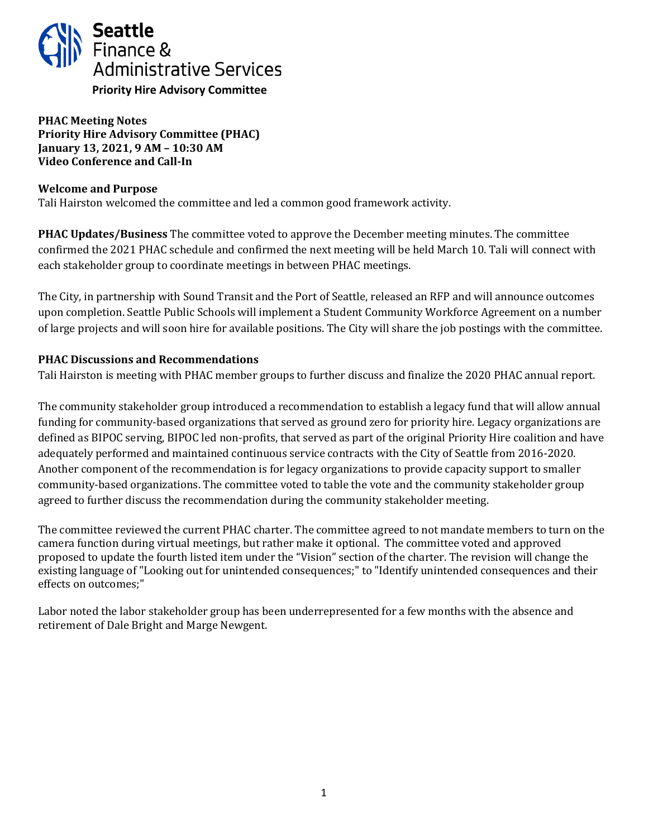

**PHAC Meeting Notes Priority Hire Advisory Committee (PHAC) January 13, 2021, 9 AM – 10:30 AM Video Conference and Call-In**

### **Welcome and Purpose**

Tali Hairston welcomed the committee and led a common good framework activity.

**PHAC Updates/Business** The committee voted to approve the December meeting minutes. The committee confirmed the 2021 PHAC schedule and confirmed the next meeting will be held March 10. Tali will connect with each stakeholder group to coordinate meetings in between PHAC meetings.

The City, in partnership with Sound Transit and the Port of Seattle, released an RFP and will announce outcomes upon completion. Seattle Public Schools will implement a Student Community Workforce Agreement on a number of large projects and will soon hire for available positions. The City will share the job postings with the committee.

### **PHAC Discussions and Recommendations**

Tali Hairston is meeting with PHAC member groups to further discuss and finalize the 2020 PHAC annual report.

The community stakeholder group introduced a recommendation to establish a legacy fund that will allow annual funding for community-based organizations that served as ground zero for priority hire. Legacy organizations are defined as BIPOC serving, BIPOC led non-profits, that served as part of the original Priority Hire coalition and have adequately performed and maintained continuous service contracts with the City of Seattle from 2016-2020. Another component of the recommendation is for legacy organizations to provide capacity support to smaller community-based organizations. The committee voted to table the vote and the community stakeholder group agreed to further discuss the recommendation during the community stakeholder meeting.

The committee reviewed the current PHAC charter. The committee agreed to not mandate members to turn on the camera function during virtual meetings, but rather make it optional. The committee voted and approved proposed to update the fourth listed item under the "Vision" section of the charter. The revision will change the existing language of "Looking out for unintended consequences;" to "Identify unintended consequences and their effects on outcomes;"

Labor noted the labor stakeholder group has been underrepresented for a few months with the absence and retirement of Dale Bright and Marge Newgent.